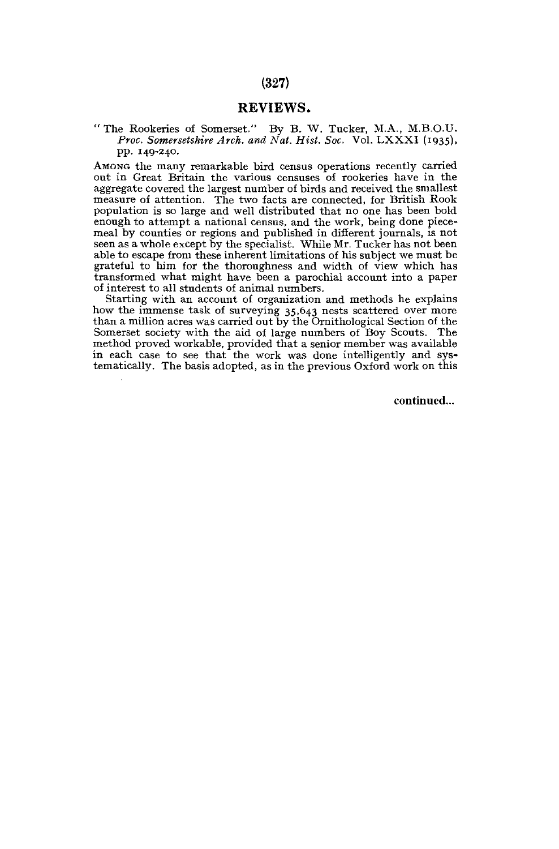# REVIEWS.

\*' The Rookeries of Somerset." By B. W. Tucker, M.A., M.B.O.U. *Proc. Somersetshire Arch, and Nat. Hist. Soc.* Vol. LXXXI (1935), pp. 149-240.

AMONG the many remarkable bird census operations recently carried out in Great Britain the various censuses of rookeries have in the aggregate covered the largest number of birds and received the smallest measure of attention. The two facts are connected, for British Rook population is so large and well distributed that no one has been bold enough to attempt a national census, and the work, being done piecemeal by counties or regions and published in different journals, is not seen as a whole except by the specialist. While Mr. Tucker has not been able to escape from these inherent limitations of his subject we must be grateful to him for the thoroughness and width of view which has transformed what might have been a parochial account into a paper of interest to all students of animal numbers.

Starting with an account of organization and methods he explains how the immense task of surveying 35,643 nests scattered over more than a million acres was carried out by the Ornithological Section of the Somerset society with the aid of large numbers of Boy Scouts. The method proved workable, provided that a senior member was available in each case to see that the work was done intelligently and systematically. The basis adopted, as in the previous Oxford work on this

continued...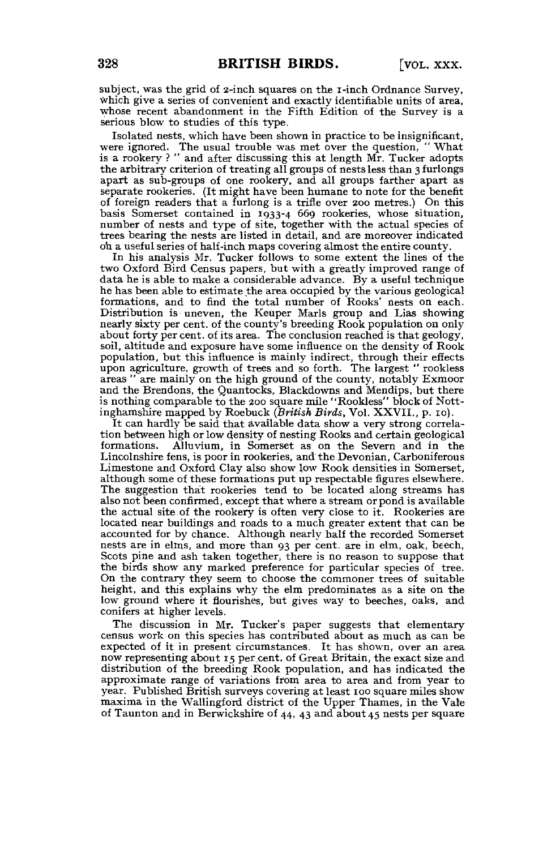subject, was the grid of 2-inch squares on the I-inch Ordnance Survey, which give a series of convenient and exactly identifiable units of area, whose recent abandonment in the Fifth Edition of the Survey is a serious blow to studies of this type.

Isolated nests, which have been shown in practice to be insignificant, were ignored. The usual trouble was met over the question, "What is a rookery?" and after discussing this at length Mr. Tucker adopts the arbitrary criterion of treating all groups of nests less than 3 furlongs apart as sub-groups of one rookery, and all groups farther apart as separate rookeries. (It might have been humane to note for the benefit of foreign readers that a furlong is a trifle over 200 metres.) On this basis Somerset contained in 1933-4 669 rookeries, whose situation, number of nests and type of site, together with the actual species of trees bearing the nests are listed in detail, and are moreover indicated o'n a useful series of half-inch maps covering almost the entire county.

In his analysis Mr. Tucker follows to some extent the lines of the two Oxford Bird Census papers, but with a greatly improved range of data he is able to make a considerable advance. By a useful technique he has been able to estimate the area occupied by the various geological formations, and to find the total number of Rooks' nests on each. Distribution is uneven, the Keuper Marls group and Lias showing nearly sixty per cent, of the county's breeding Rook population on only about forty per cent, of its area. The conclusion reached is that geology, soil, altitude and exposure have some influence on the density of Rook population, but this influence is mainly indirect, through their effects upon agriculture, growth of trees and so forth. The largest " rookless areas " are mainly on the high ground of the county, notably Exmoor and the Brendons, the Quantocks, Blackdowns and Mendips, but there is nothing comparable to the 200 square mile "Rookless" block of Nott-inghamshire mapped by Roebuck *(British Birds,* Vol. XXVII., p . 10).

It can hardly be said that available data show a very strong correlation between high or low density of nesting Rooks and certain geological Alluvium, in Somerset as on the Severn and in the Lincolnshire fens, is poor in rookeries, and the Devonian, Carboniferous Limestone and Oxford Clay also show low Rook densities in Somerset, although some of these formations put up respectable figures elsewhere. The suggestion that rookeries tend to be located along streams has also not been confirmed, except that where a stream or pond is available the actual site.of the rookery is often very close to it. Rookeries are located near buildings and roads to a much greater extent that can be accounted for by chance. Although nearly half the recorded Somerset nests are in elms, and more than 93 per cent, are in elm, oak, beech, Scots pine and ash taken together, there is no reason to suppose that the birds show any marked preference for particular species of tree. On the contrary they seem to choose the commoner trees of suitable height, and this explains why the elm predominates as a site on the low ground where it flourishes, but gives way to beeches, oaks, and conifers at higher levels.

The discussion in Mr. Tucker's paper suggests that elementary census work on this species has contributed about as much as can be expected of it in present circumstances. It has shown, over an area now representing about 15 per cent, of Great Britain, the exact size and distribution of the breeding Rook population, and has indicated the approximate range of variations from area to area and from year to year. Published British surveys covering at least 100 square miles show maxima in the Wallingford district of the Upper Thames, in the Vale of Taunton and in Berwickshire of 44, 43 and about 45 nests per square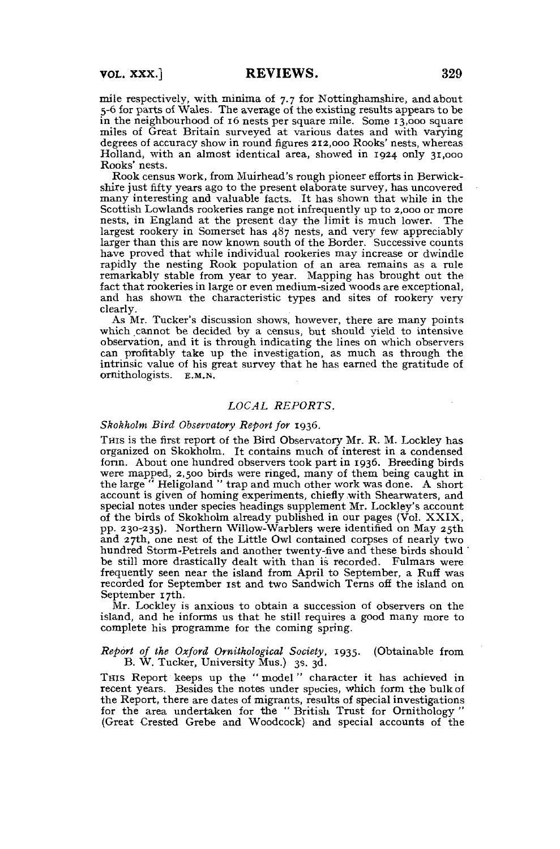mile respectively, with minima of 7.7 for Nottinghamshire, and about 5-6 for parts of Wales. The average of the existing results appears to be in the neighbourhood of 16 nests per square mile. Some 13,000 square miles of Great Britain surveyed at various dates and with varying degrees of accuracy show in round figures 212,000 Rooks' nests, whereas Holland, with an almost identical area, showed in 1924 only 31,000 Rooks' nests.

Rook census work, from Muirhead's rough pioneer efforts in Berwickshire just fifty years ago to the present elaborate survey, has uncovered many interesting and valuable facts. It has shown that while in the Scottish Lowlands rookeries range not infrequently up to 2,000 or more nests, in England at the present day the limit is much lower. The largest rookery in Somerset has  $487$  nests, and very few appreciably larger than this are now known south of the Border. Successive counts have proved that while individual rookeries may increase or dwindle rapidly the nesting Rook population of an area remains as a rule remarkably stable from year to year. Mapping has brought out the fact that rookeries in large or even medium-sized woods are exceptional, and has shown the characteristic types and sites of rookery very clearly.

As Mr. Tucker's discussion shows, however, there are many points which cannot be decided by a census, but should yield to intensive observation, and it is through indicating the lines on which observers can profitably take up the investigation, as much as through the intrinsic value of his great survey that he has earned the gratitude of ornithologists, E.M.N.

## *LOCAL REPORTS.*

## *Skokholm Bird Observatory Report for* 1936.

THIS is the first report of the Bird Observatory Mr. R. M. Lockley has organized on Skokholm. It contains much of interest in a condensed form. About one hundred observers took part in 1936. Breeding birds were mapped, 2,500 birds were ringed, many of them being caught in the large " Heligoland " trap and much other work was done. A short account is given of homing experiments, chiefly with Shearwaters, and special notes under species headings supplement Mr. Lockley's account of the birds of Skokholm already published in our pages (Vol. XXIX, pp. 230-235). Northern Willow-Warblers were identified on May 25th and 27th, one nest of the Little Owl contained corpses of nearly two hundred Storm-Petrels and another twenty-five and these birds should ' be still more drastically dealt with than is recorded. Fulmars were frequently seen near the island from April to September, a Ruff was recorded for September 1st and two Sandwich Terns off the island on September 17th.

Mr. Lockley is anxious to obtain a succession of observers on the island, and he informs us that he still requires a good many more to complete his programme for the coming spring.

#### *Report of the Oxford Ornithological Society,* 1935. (Obtainable from B. W. Tucker, University Mus.) 3s. 3d.

THIS Report keeps up the "model" character it has achieved in recent years. Besides the notes under species, which form the bulk of the Report, there are dates of migrants, results of special investigations for the area undertaken for the " British Trust for Ornithology " (Great Crested Grebe and Woodcock) and special accounts of the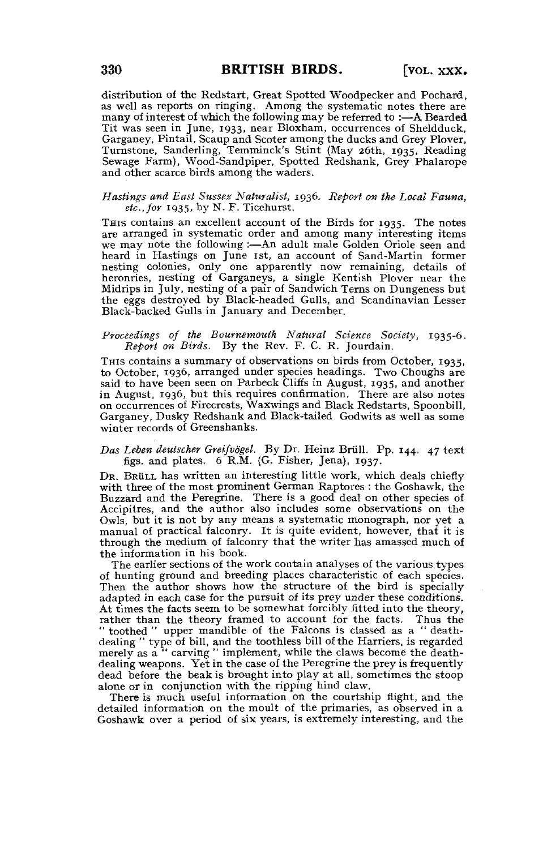distribution of the Redstart, Great Spotted Woodpecker and Pochard, as well as reports on ringing. Among the systematic notes there are many of interest of which the following may be referred to :—A Bearded Tit was seen in June, 1933, near Bloxham, occurrences of Sheldduck, Garganey, Pintail, Scaup and Scoter among the ducks and Grey Plover, Turnstone, Sanderling, Temminck's Stint (May 26th, 1935, Reading Sewage Farm), Wood-Sandpiper, Spotted Redshank, Grey Phalarope and other scarce birds among the waders.

## *Hastings and East Sussex Naturalist,* 1936. *Report on the Local Fauna, etc., for* 1935, by N, F. Ticehurst.

THIS contains an excellent account of the Birds for 1935. The notes are arranged in systematic order and among many interesting items we may note the following :—An adult male Golden Oriole seen and heard in Hastings on June 1st, an account of Sand-Martin former nesting colonies, only one apparently now remaining, details of heronries, nesting of Garganeys, a single Kentish Plover near the Midrips in July, nesting of a pair of Sandwich Terns on Dungeness but the eggs destroyed by Black-headed Gulls, and Scandinavian Lesser Black-backed Gulls in January and December.

#### *Proceedings of the Bournemouth Natural Science Society,* 1935-6. *Report on Birds.* By the Rev. F. C. R. Jourdain.

THIS contains a summary of observations on birds from October, 1935, to October, 1936, arranged under species headings. Two Choughs are said to have been seen on Parbeck Cliffs in August, 1935, and another in August, 1936, but this requires confirmation. There are also notes on occurrences of Firecrests, Waxwings and Black Redstarts, Spoonbill, Garganey, Dusky Redshank and Black-tailed Godwits as well as some winter records of Greenshanks.

### *Das Leben deutscher Greifvogel.* By Dr. Heinz Briill. Pp. 144. 47 text figs, and plates. 6 R.M. (G. Fisher, Jena), 1937.

DR. BrüLL has written an interesting little work, which deals chiefly with three of the most prominent German Raptores : the Goshawk, the Buzzard and the Peregrine. There is a good deal on other species of Accipitres, and the author also includes some observations on the Owls, but it is not by any means a systematic monograph, nor yet a manual of practical falconry. It is quite evident, however, that it is through the medium of falconry that the writer has amassed much of the information in his book.

The earlier sections of the work contain analyses of the various types of hunting ground and breeding places characteristic of each species. Then the author shows how the structure of the bird is specially adapted in each case for the pursuit of its prey under these conditions. At times the facts seem to be somewhat forcibly fitted into the theory, rather than the theory framed to account for the facts. Thus the " toothed " upper mandible of the Falcons is classed as a " deathdealing " type of bill, and the toothless bill of the Harriers, is regarded merely as a " carving " implement, while the claws become the deathdealing weapons. Yet in the case of the Peregrine the prey is frequently dead before the beak is brought into play at all, sometimes the stoop alone or in conjunction with the ripping hind claw.

There is much useful information on the courtship flight, and the detailed information on the moult of the primaries, as observed in a Goshawk over a period of six years, is extremely interesting, and the